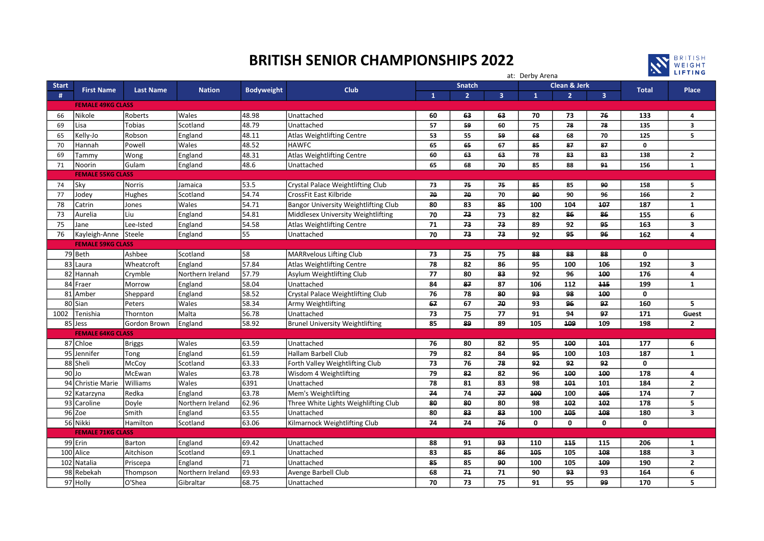## BRITISH SENIOR CHAMPIONSHIPS 2022



|                          |                          |                  |                  |                   |                                        |                                          |                | at: Derby Arena |              | <b>AN LIFTING</b> |                |              |                         |
|--------------------------|--------------------------|------------------|------------------|-------------------|----------------------------------------|------------------------------------------|----------------|-----------------|--------------|-------------------|----------------|--------------|-------------------------|
| <b>Start</b>             |                          |                  | <b>Nation</b>    | <b>Bodyweight</b> | <b>Club</b>                            | <b>Clean &amp; Jerk</b><br><b>Snatch</b> |                |                 |              |                   |                |              |                         |
| #                        | <b>First Name</b>        | <b>Last Name</b> |                  |                   |                                        | $\mathbf{1}$                             | $\overline{2}$ | $\overline{3}$  | $\mathbf{1}$ | $\overline{2}$    | $\overline{3}$ | <b>Total</b> | <b>Place</b>            |
| <b>FEMALE 49KG CLASS</b> |                          |                  |                  |                   |                                        |                                          |                |                 |              |                   |                |              |                         |
| 66                       | Nikole                   | Roberts          | Wales            | 48.98             | l Unattached                           | 60                                       | 63             | 63              | 70           | 73                | 76             | 133          | 4                       |
| 69<br>Lisa               |                          | Tobias           | Scotland         | 48.79             | Unattached                             | 57                                       | 59             | 60              | 75           | 78                | 78             | 135          | $\overline{\mathbf{3}}$ |
| 65                       | Kelly-Jo                 | Robson           | England          | 48.11             | Atlas Weightlifting Centre             | 53                                       | 55             | 59              | 68           | 68                | 70             | 125          | 5                       |
| 70                       | Hannah                   | Powell           | Wales            | 48.52             | <b>HAWFC</b>                           | 65                                       | 65             | 67              | 85           | 87                | 87             | 0            |                         |
| 69                       | Tammy                    | Wong             | England          | 48.31             | Atlas Weightlifting Centre             | 60                                       | 63             | 63              | 78           | 83                | 83             | 138          | $\mathbf{2}$            |
| 71                       | Noorin                   | Gulam            | England          | 48.6              | Unattached                             | 65                                       | 68             | 70              | 85           | 88                | 91             | 156          | $\mathbf{1}$            |
| <b>FEMALE 55KG CLASS</b> |                          |                  |                  |                   |                                        |                                          |                |                 |              |                   |                |              |                         |
| Sky<br>74                |                          | <b>Norris</b>    | Jamaica          | 53.5              | Crystal Palace Weightlifting Club      | 73                                       | 75             | 75              | 85           | 85                | 90             | 158          | 5                       |
| 77                       | Jodey                    | Hughes           | Scotland         | 54.74             | <b>CrossFit East Kilbride</b>          | 70                                       | 70             | 70              | 90           | 90                | 96             | 166          | $\mathbf{2}$            |
| 78                       | Catrin                   | Jones            | Wales            | 54.71             | Bangor University Weightlifting Club   | 80                                       | 83             | 85              | 100          | 104               | 107            | 187          | $\mathbf{1}$            |
| 73                       | Aurelia                  | Liu              | England          | 54.81             | Middlesex University Weightlifting     | 70                                       | 73             | 73              | 82           | 86                | 86             | 155          | 6                       |
| 75                       | Jane                     | Lee-Isted        | England          | 54.58             | Atlas Weightlifting Centre             | 71                                       | 73             | 73              | 89           | 92                | 95             | 163          | $\overline{\mathbf{3}}$ |
| 76                       | Kayleigh-Anne Steele     |                  | England          | 55                | Unattached                             | 70                                       | 73             | 73              | 92           | 95                | 96             | 162          | $\overline{4}$          |
|                          | <b>FEMALE 59KG CLASS</b> |                  |                  |                   |                                        |                                          |                |                 |              |                   |                |              |                         |
| 79 Beth                  |                          | Ashbee           | Scotland         | 58                | MARRvelous Lifting Club                | 73                                       | 75             | 75              | 88           | 88                | 88             | 0            |                         |
| 83 Laura                 |                          | Wheatcroft       | England          | 57.84             | Atlas Weightlifting Centre             | 78                                       | 82             | 86              | 95           | 100               | 106            | 192          | $\overline{\mathbf{3}}$ |
| 82 Hannah                |                          | Crymble          | Northern Ireland | 57.79             | Asylum Weightlifting Club              | 77                                       | 80             | 83              | 92           | 96                | 100            | 176          | 4                       |
| 84 Fraer                 |                          | Morrow           | England          | 58.04             | <b>Unattached</b>                      | 84                                       | 87             | 87              | 106          | 112               | 115            | 199          | $\mathbf{1}$            |
| 81 Amber                 |                          | Sheppard         | England          | 58.52             | Crystal Palace Weightlifting Club      | 76                                       | 78             | 80              | 93           | 98                | 100            | 0            |                         |
| 80 Sian                  |                          | Peters           | Wales            | 58.34             | Army Weightlifting                     | 67                                       | 67             | 70              | 93           | 96                | 97             | 160          | 5                       |
| 1002                     | Tenishia                 | Thornton         | Malta            | 56.78             | Unattached                             | 73                                       | 75             | 77              | 91           | 94                | 97             | 171          | Guest                   |
| 85 Jess                  |                          | Gordon Brown     | England          | 58.92             | <b>Brunel University Weightlifting</b> | 85                                       | 89             | 89              | 105          | 109               | 109            | 198          | $\mathbf{2}$            |
|                          | <b>FEMALE 64KG CLASS</b> |                  |                  |                   |                                        |                                          |                |                 |              |                   |                |              |                         |
| 87 Chloe                 |                          | <b>Briggs</b>    | Wales            | 63.59             | Unattached                             | 76                                       | 80             | 82              | 95           | 100               | 101            | 177          | 6                       |
| 95 Jennifer              |                          | Tong             | England          | 61.59             | Hallam Barbell Club                    | 79                                       | 82             | 84              | 95           | 100               | 103            | 187          | $\mathbf{1}$            |
| 88 Sheli                 |                          | McCoy            | Scotland         | 63.33             | Forth Valley Weightlifting Club        | 73                                       | 76             | 78              | 92           | 92                | 92             | 0            |                         |
| 90JJo                    |                          | McEwan           | Wales            | 63.78             | Wisdom 4 Weightlifting                 | 79                                       | 82             | 82              | 96           | 100               | 100            | 178          | 4                       |
|                          | 94 Christie Marie        | Williams         | Wales            | 6391              | Unattached                             | 78                                       | 81             | 83              | 98           | 101               | 101            | 184          | $\mathbf{2}$            |
|                          | 92 Katarzyna             | Redka            | England          | 63.78             | Mem's Weightlifting                    | 74                                       | 74             | 77              | 100          | 100               | 105            | 174          | $\overline{7}$          |
|                          | 93 Caroline              | Doyle            | Northern Ireland | 62.96             | Three White Lights Weighlifting Club   | 80                                       | 80             | 80              | 98           | 102               | 102            | 178          | 5                       |
| 96 Zoe                   |                          | Smith            | England          | 63.55             | Unattached                             | 80                                       | 83             | 83              | 100          | 105               | 108            | 180          | 3                       |
| 56 Nikki                 |                          | Hamilton         | Scotland         | 63.06             | Kilmarnock Weightlifting Club          | 74                                       | 74             | 76              | $\mathbf 0$  | $\mathbf{0}$      | 0              | 0            |                         |
| <b>FEMALE 71KG CLASS</b> |                          |                  |                  |                   |                                        |                                          |                |                 |              |                   |                |              |                         |
| 99 Erin                  |                          | <b>Barton</b>    | England          | 69.42             | Unattached                             | 88                                       | 91             | 93              | 110          | 115               | 115            | 206          | $\mathbf{1}$            |
| 100 Alice                |                          | Aitchison        | Scotland         | 69.1              | Unattached                             | 83                                       | 85             | 86              | 105          | 105               | 108            | 188          | $\overline{\mathbf{3}}$ |
| 102 Natalia              |                          | Priscepa         | England          | 71                | Unattached                             | 85                                       | 85             | 90              | 100          | 105               | 109            | 190          | $\mathbf{2}$            |
|                          | 98 Rebekah               | Thompson         | Northern Ireland | 69.93             | Avenge Barbell Club                    | 68                                       | 71             | 71              | 90           | 93                | 93             | 164          | 6                       |
| 97 Holly                 |                          | O'Shea           | Gibraltar        | 68.75             | Unattached                             | 70                                       | 73             | 75              | 91           | 95                | 99             | 170          | 5                       |